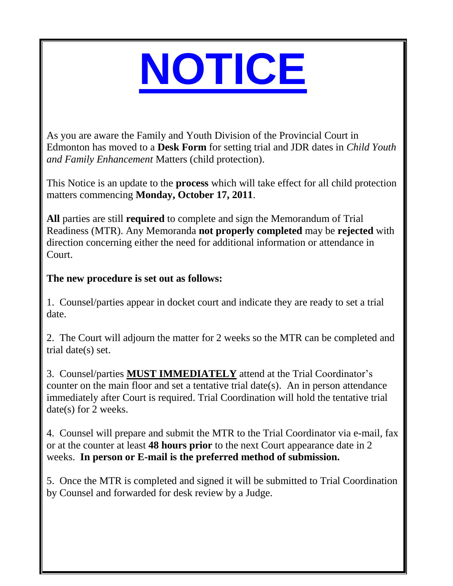## **NOTICE**

As you are aware the Family and Youth Division of the Provincial Court in Edmonton has moved to a **Desk Form** for setting trial and JDR dates in *Child Youth and Family Enhancement* Matters (child protection).

This Notice is an update to the **process** which will take effect for all child protection matters commencing **Monday, October 17, 2011**.

**All** parties are still **required** to complete and sign the Memorandum of Trial Readiness (MTR). Any Memoranda **not properly completed** may be **rejected** with direction concerning either the need for additional information or attendance in Court.

## **The new procedure is set out as follows:**

1. Counsel/parties appear in docket court and indicate they are ready to set a trial date.

2. The Court will adjourn the matter for 2 weeks so the MTR can be completed and trial date(s) set.

3. Counsel/parties **MUST IMMEDIATELY** attend at the Trial Coordinator's counter on the main floor and set a tentative trial date(s). An in person attendance immediately after Court is required. Trial Coordination will hold the tentative trial date(s) for 2 weeks.

4. Counsel will prepare and submit the MTR to the Trial Coordinator via e-mail, fax or at the counter at least **48 hours prior** to the next Court appearance date in 2 weeks. **In person or E-mail is the preferred method of submission.**

5. Once the MTR is completed and signed it will be submitted to Trial Coordination by Counsel and forwarded for desk review by a Judge.